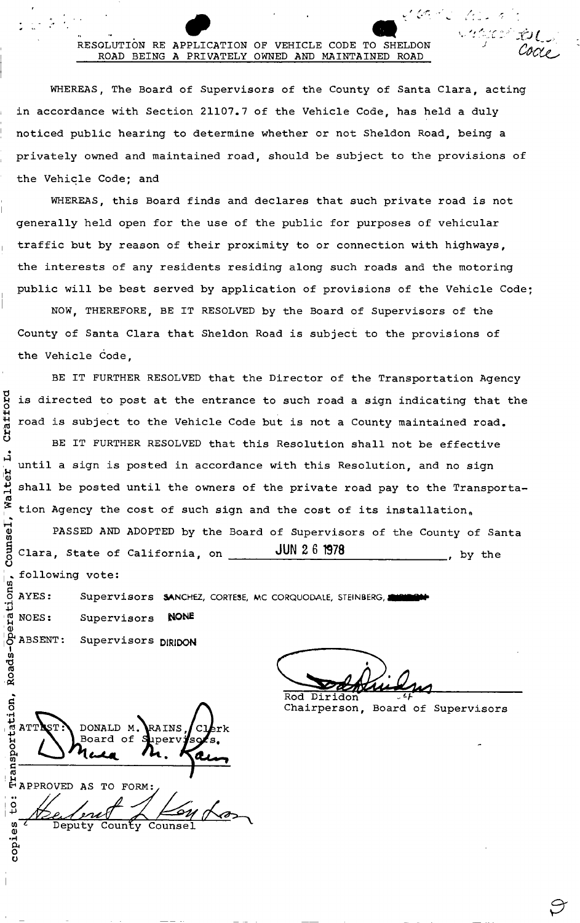#### RESOLUTION RE APPLICATION OF VEHICLE CODE TO SHELDON ROAD BEING A PRIVATELY OWNED AND MAINTAINED ROAD

WHEREAS, The Board of Supervisors of the County of Santa Clara, acting in accordance with Section 21107.7 of the Vehicle Code, has held a duly noticed public hearing to determine whether or not Sheldon Road, being a privately owned and maintained road, should be subject to the provisions of the Vehicle Code: and

WHEREAS, this Board finds and declares that such private road is not generally held open for the use of the public for purposes of vehicular traffic but by reason of their proximity to or connection with highways, the interests of any residents residing along such roads and the motoring public will be best served by application of provisions of the Vehicle Code;

NOW, THEREFORE, BE IT RESOLVED by the Board of Supervisors of the County of Santa Clara that Sheldon Road is subject to the provisions of the Vehicle Code,

BE IT FURTHER RESOLVED that the Director of the Transportation Agency is directed to post at the entrance to such road a sign indicating that the road is subject to the Vehicle Code but is not a County maintained road.

BE IT FURTHER RESOLVED that this Resolution shall not be effective  $\mathbf{H}$ until a sign is posted in accordance with this Resolution, and no sign shall be posted until the owners of the private road pay to the Transportation Agency the cost of such sign and the cost of its installation.  $\mathbf{L}$ 

Clara, State of California, on  $\frac{JUN\ 2.6\ 1978}$ , by the following vote:  $\frac{1}{9}$ PASSED AND ADOPTED by the Board of Supervisors of the County of Santa

AYES:  $\cdot \vphantom{\tilde{a}}\smash{\tilde{a}}$  $\mathop{c}\limits^{\sigma}$  NOES:  $\mathbf{\omega}$ Supervisors SANCHEZ, CORTESE, MC CORQUODALE, STEINBERG, AND THE Supervisors **NONE**

Supervisors DIRIDON

Craffor

'a

~

Q) U)

o

 $\mathbf{r}$ 

, Roads-C

.~ 0.. o o

Cooking Rod Diridon

くびどこ でしょう

SACTO TOL

Chairperson, Board of Supervisors

 $\mathbf{s}$ E ATTIST: DONALD M. RAINS, Clerk o  $\sum_{n=1}^{\infty}$  Music M. Kain s::--------------------------~~--~ ttl ! 1-1 ::::::::::::::<br>i Decimal / Kour

w <sup>Z</sup> Deputy County Counse.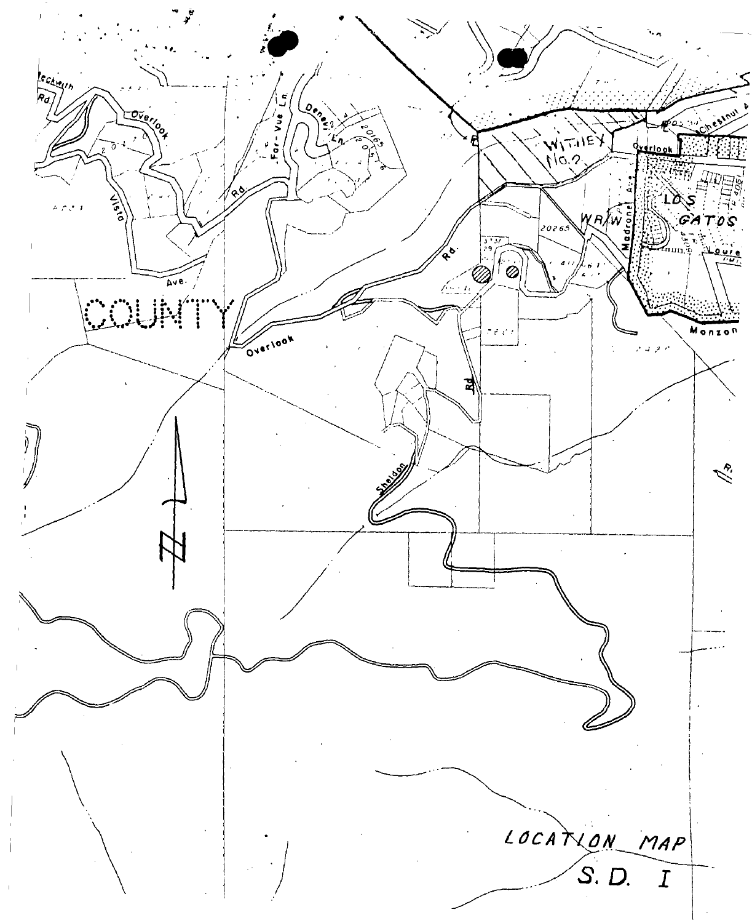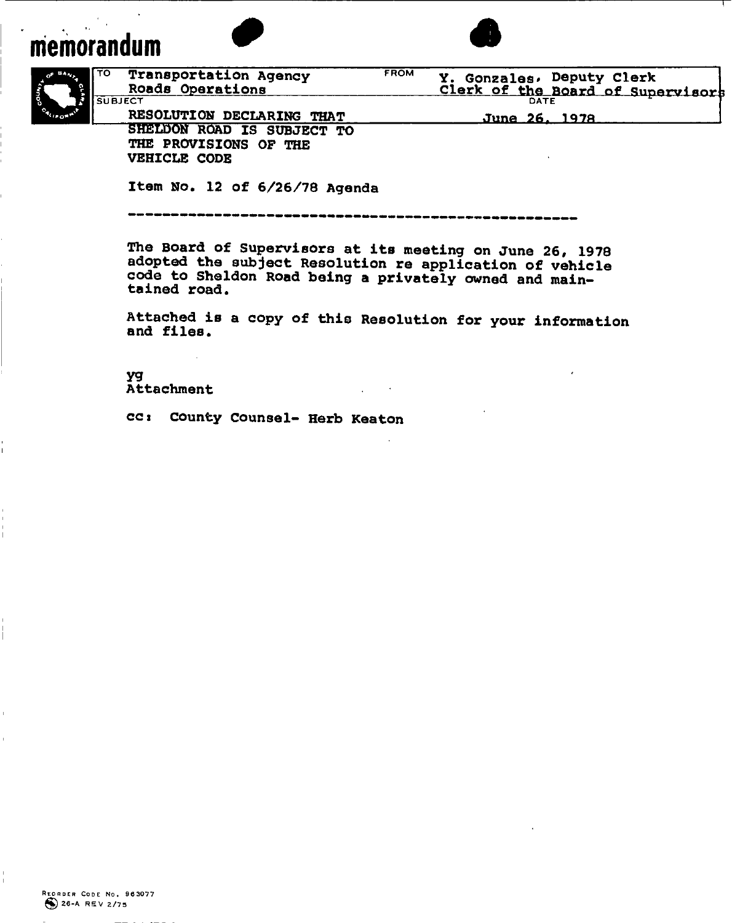# **memorandum**



Item No. 12 of 6/26/78 Agenda

**----------------------------------------------------**

The Board of Supervisors at its meeting on June 26, 1978 adopted the subject Resolution re application of vehicle code to Sheldon Road being a privately owned and maintained road.

Attached is a copy of this Resolution for your information and files.

*yq* Attachment

CCI County Counsel- Herb Keaton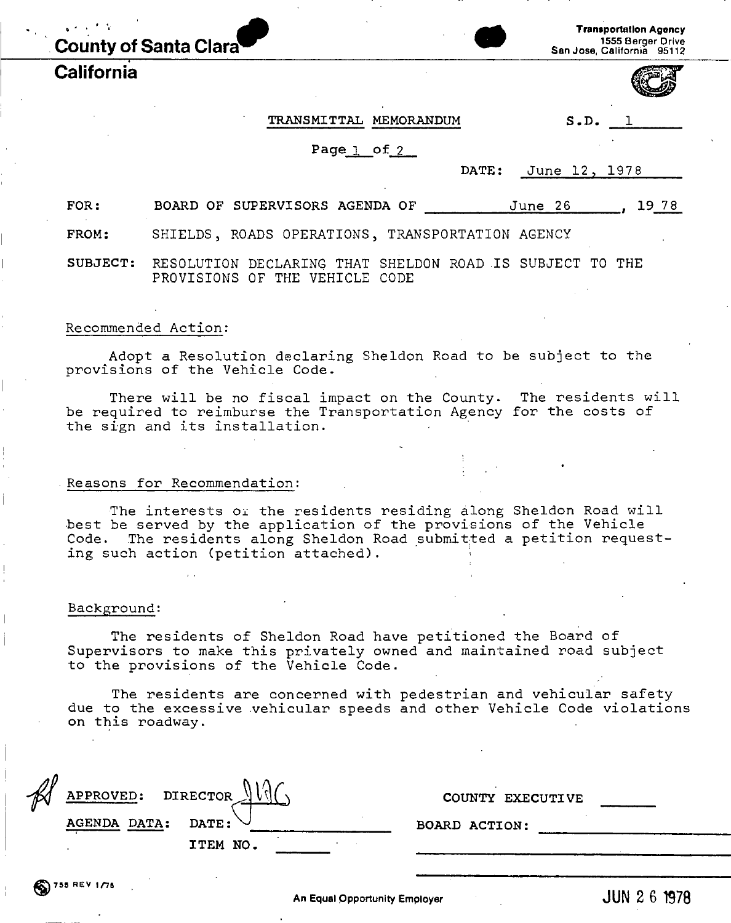**California**



TRANSMITTAL MEMORANDUM S.D. 1

Page  $l$  of  $2$ 

| Ñ<br>œ.<br>בנער<br>۰ |
|----------------------|
|                      |

DATE: June 12, 1978

FOR: BOARD OF SUPERVISORS AGENDA OF  $J$ une 26 , 19 78

FROM: SHIELDS, ROADS OPERATIONS, TRANSPORTATION AGENCY

SUBJECT: RESOLUTION DECLARING THAT SHELDON ROAD IS SUBJECT TO THE PROVISIONS OF THE VEHICLE CODE

#### Recommended Action:

Adopt a Resolution declaring Sheldon Road to be subject to the provisions of the Vehicle Code.

There will be no fiscal impact on the County. The residents will be required to reimburse the Transportation Agency for the costs of the sign and its installation.

#### .Reasons for Recommendation:

The interests *Oi* the residents residing along Sheldon Road will best be served by the application of the provisions of the Vehicle Code. The residents along Sheldon Road submitted a petition requesting such action (petition attached).

#### Background:

The residents of Sheldon Road have petitioned the Board of Supervisors to make this privately owned and maintained road subject to the provisions of the Vehicle Code.

The residents are concerned with pedestrian and vehicular safety due to the excessive vehicular speeds and other Vehicle Code violations on this roadway.

| APPROVED: DIRECTOR |          | COUNTY EXECUTIVE |
|--------------------|----------|------------------|
| AGENDA DATA:       | DATE:    | BOARD ACTION:    |
|                    | ITEM NO. |                  |
|                    |          |                  |

 $\binom{8}{3}$ 755 REV 1/7a

An Equal Opportunity Employer **JUN 26 1978**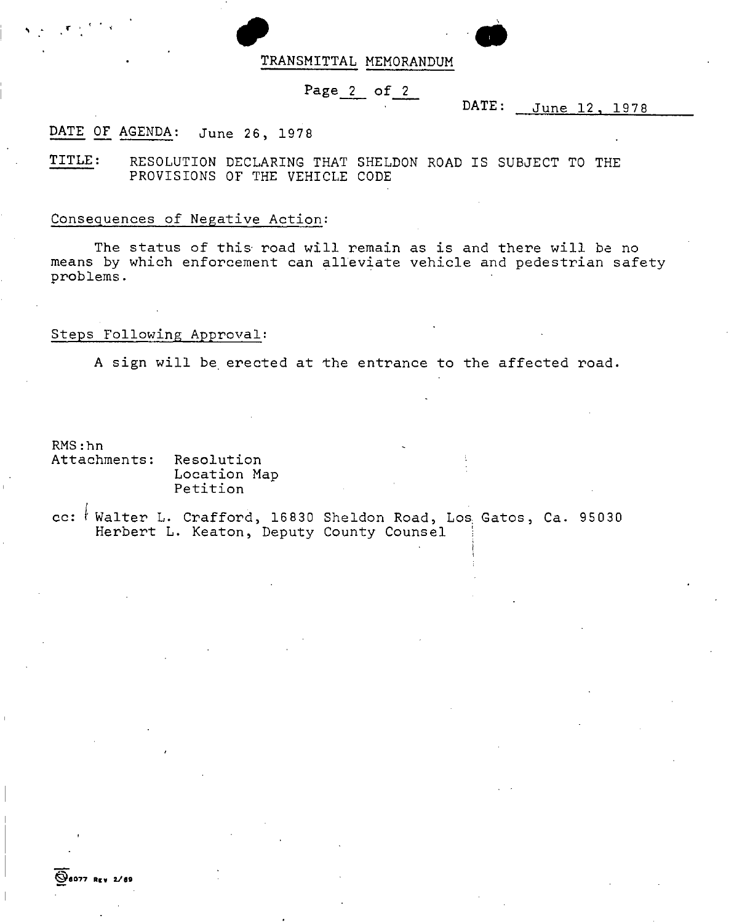#### TRANSMITTAL MEMORANDUM

#### Page<sub>2</sub> of 2

#### DATE: June 12, 1978

#### DATE OF AGENDA: June 26, 1978

TITLE: RESOLUTION DECLARING THAT SHELDON ROAD IS SUBJECT TO THE PROVISIONS OF THE VEHICLE CODE

#### Consequences of Negative Action:

The status of this road will remain as is and there will be no means by which enforcement can alleviate vehicle and pedestrian safety problems.

#### Steps Following Approval:

A sign will be erected at the entrance to the affected road.

RMS:hn

~'077 **Rev 2.111**

,<br>,<br>, , , , , , , ,

Attachments: Resolution Location Map Petition

*cc:* I Walter L. Crafford, <sup>16830</sup> Sheldon Road, Los Gatos, Ca. <sup>95030</sup> Herbert L. Keaton, Deputy County Counsel '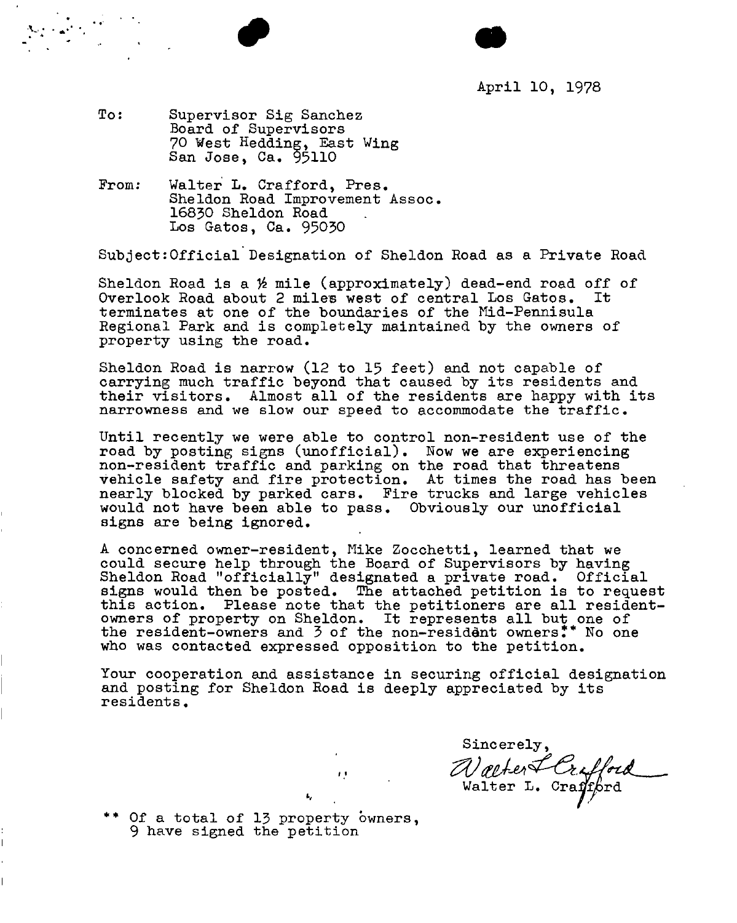

- To: Supervisor Sig Sanchez Board of Supervisors 70 West Hedding, East Wing San Jose, Ca. 95110
- Walter L. Crafford, Pres. Sheldon Road Improvement Assoc. 16830 Sheldon Road Los Gatos, Ca. 95030 From:

Subject:Official Designation of Sheldon Road as a Private Road

Sheldon Road is a  $%$  mile (approximately) dead-end road off of Overlook Road about 2 mile's west of central Los Gatos. It terminates at one of the boundaries of the Mid-Pennisula Regional Park and is completely maintained by the owners of property using the road.

Sheldon Road is narrow (12 to 15 feet) and not capable of carrying much traffic beyond that caused by its residents and their visitors. Almost all of the residents are happy with its narrowness and we slow our speed to accommodate the traffic.

Until recently we were able to control non-resident use of the road by posting signs (unofficial). Now we are experiencing non-resident traffic and parking on the road that threatens vehicle safety and fire protection. At times the road has been nearly blocked by parked cars. Fire trucks and large vehicles would not have been able to pass. Obviously our unofficial signs are being ignored.

A concerned owner-resident, Mike Zocchetti, learned that we could secure help through the Board of Supervisors by having Sheldon Road "officially" designated a private road. Official signs would then be posted. The attached petition is to request<br>this action. Please note that the petitioners are all resident-Please note that the petitioners are all residentowners of property on Sheldon. It represents all but one of the resident-owners and 3 of the non-resident owners.\*\* No one who was contacted expressed opposition to the petition.

Your cooperation and assistance in securing official designation and posting for Sheldon Road is deeply appreciated by its residents.

'.'

L,

Sincerely, *z:vrttl-M¢-6·W~* **Walter L. Craffpro** 

\*\* Of a total of 13 property owners, 9 have signed the petition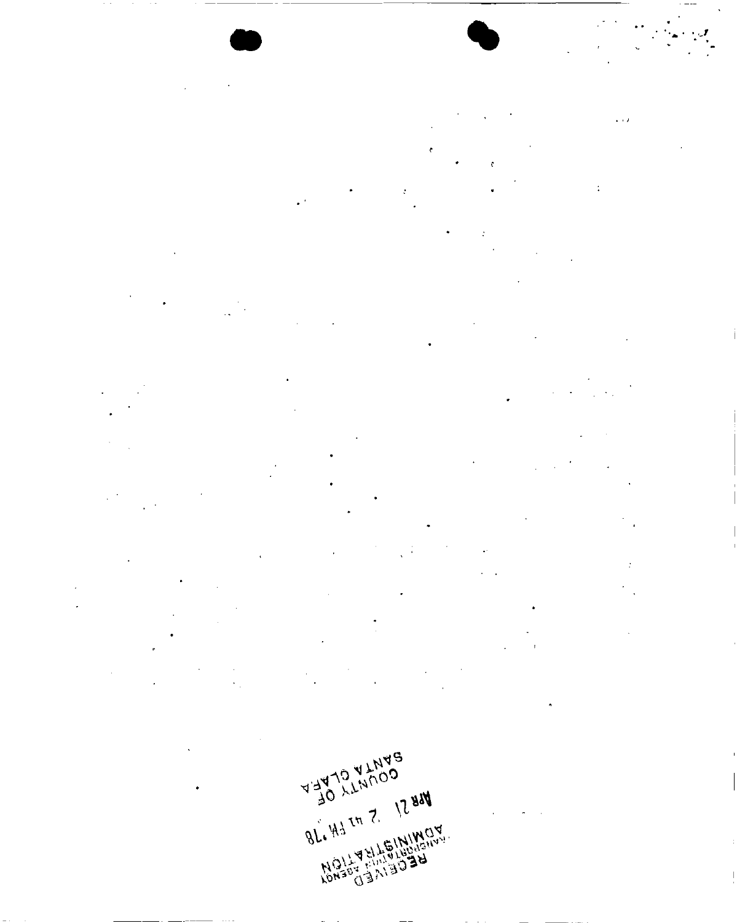

 $\ddot{\cdot}$ 

 $\overline{\phantom{a}}$ 

 $\ddot{\phantom{a}}$ 

 $\ddot{\cdot}$  $\ddot{\cdot}$  $\ddot{\phantom{1}}$ 

 $\overline{\mathcal{O}}$  $\tilde{\mathbf{c}}$  $\mathbf{\hat{c}}$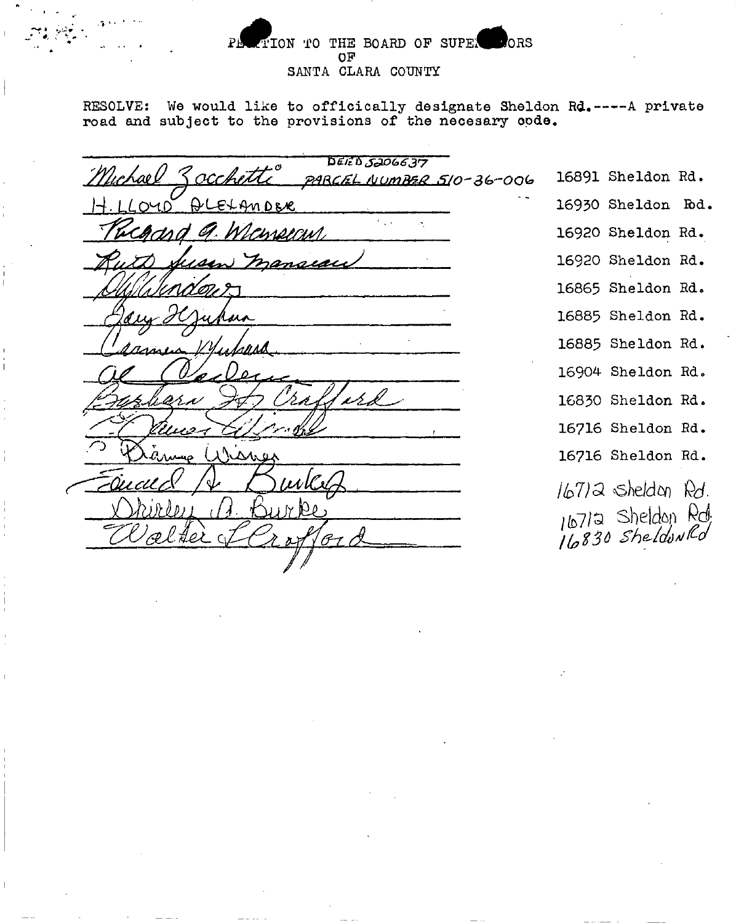#### TION TO THE BOARD OF SUPER CORS  $P<sub>F</sub>$ OF SANTA CLARA COUNTY

RESOLVE: We would like to officically designate Sheldon Rd. ---- A private road and subject to the provisions of the necesary code.

**DEIED 5206637** 16891 Sheldon Rd.  $\alpha$ cke **PARCEL NUMBER 510-36-006** 16930 Sheldon Rd. 16920 Sheldon Rd. 11*DI PIN* 16920 Sheldon Rd. ansiai 16865 Sheldon Rd. 16885 Sheldon Rd. 16885 Sheldon Rd. 16904 Sheldon Rd. ر کرند 16830 Sheldon Rd. 0.1. A 16716 Sheldon Rd. 16716 Sheldon Rd.  $167)$ 2 sheldon  $Rd$ . 16712 Sheldon Rd.<br>16830 Sheldon Rd.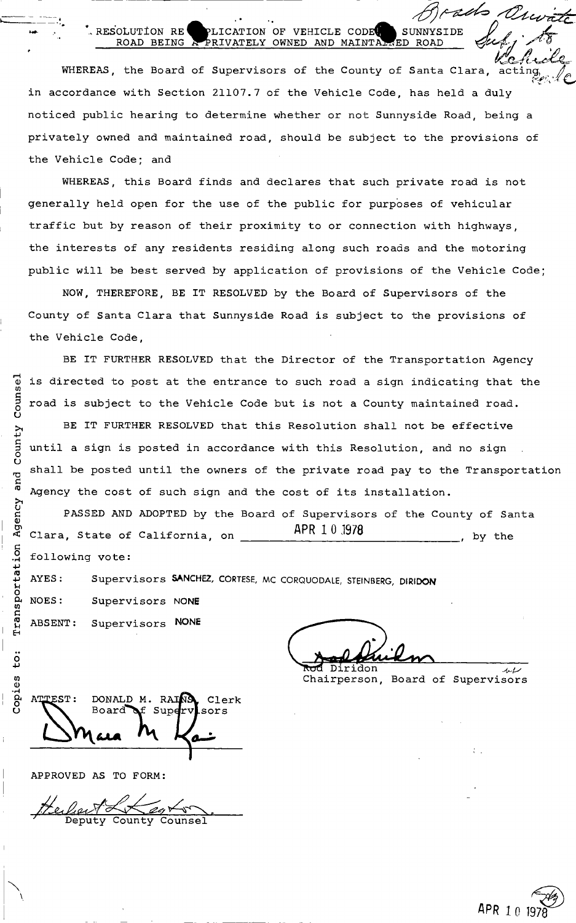#### RESOLUTION RE PLICATION OF VEHICLE CODE SUNNYSIDE ROAD BEING A PRIVATELY OWNED AND MAINTAL ED ROAD ROAD BEING & PRIVATELY OWNED AND MAINTAWED ROAD *subjection* Respectively

 $\langle \beta \rangle$ 

*~Il~* WHEREAS, the Board of Supervisors of the County of Santa Clara, act in accordance with Section 21107.7 of the Vehicle Code, has held a duly noticed public hearing to determine whether or not Sunnyside Road, being a privately owned and maintained road, should be subject to the provisions of the Vehicle Code; and

WHEREAS, this Board finds and declares that such private road is not generally held open for the use of the public for purposes of vehicular traffic but by reason of their proximity to or connection with highways, the interests of any residents residing along such roads and the motoring public will be best served by application of provisions of the Vehicle Code;

NOW, THEREFORE, BE IT RESOLVED by the Board of Supervisors of the County of Santa Clara that Sunnyside Road is subject to the provisions of the Vehicle Code,

BE IT FURTHER RESOLVED that the Director of the Transportation Agency is directed to post at the entrance to such road a sign indicating that the road is subject to the Vehicle Code but is not a County maintained road.

BE IT FURTHER RESOLVED that this Resolution shall not be effective until a sign is posted in accordance with this Resolution, and no sign shall be posted until the owners of the private road pay to the Transportation Agency the cost of such sign and the cost of its installation.

Clara, State of California, on  $\overline{APR}$  10.1978 , by the following vote: PASSED AND ADOPTED by the Board of Supervisors of the County of Santa

AYES: Supervisors SANCHEZ, CORTESE, MC CORQUODALE, STEINBERG, DIRIDON

NOES: Supervisors NONE ABSENT: Supervisors NONE

 $\frac{1}{2}$  $\frac{1}{\pi}$  ridon  $\frac{1}{\pi}$ 

Chairperson, Board of Supervisors

**ATTEST:** DONALD M. RAINA Clerk Board  $Sup\mathbf{dr}$ sors

APPROVED AS TO FORM:

Deputy



---- ~--- •

- -<br>---<br>|+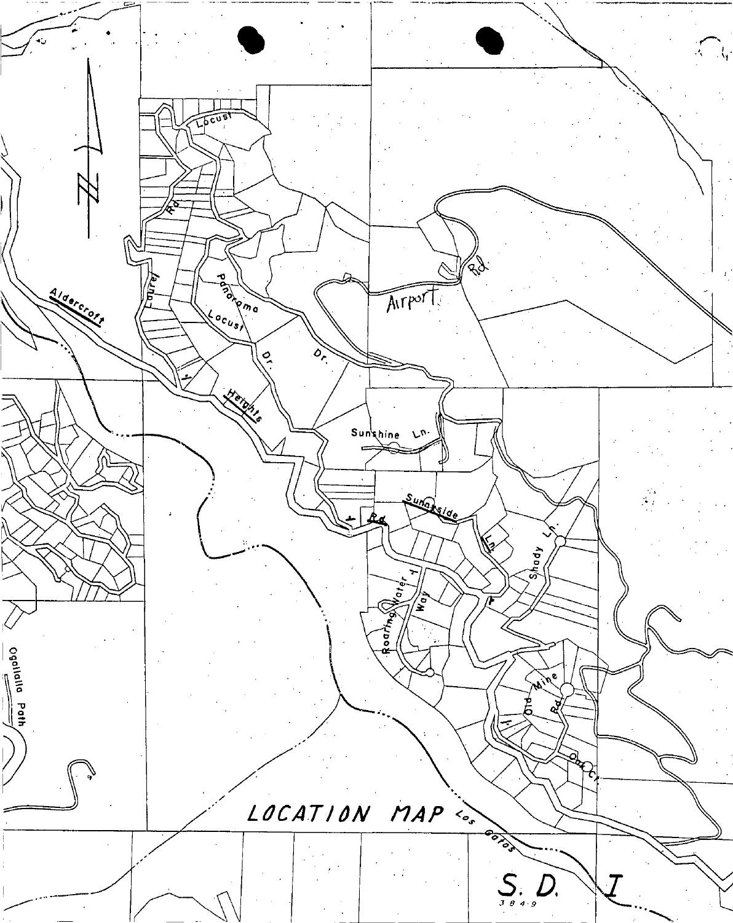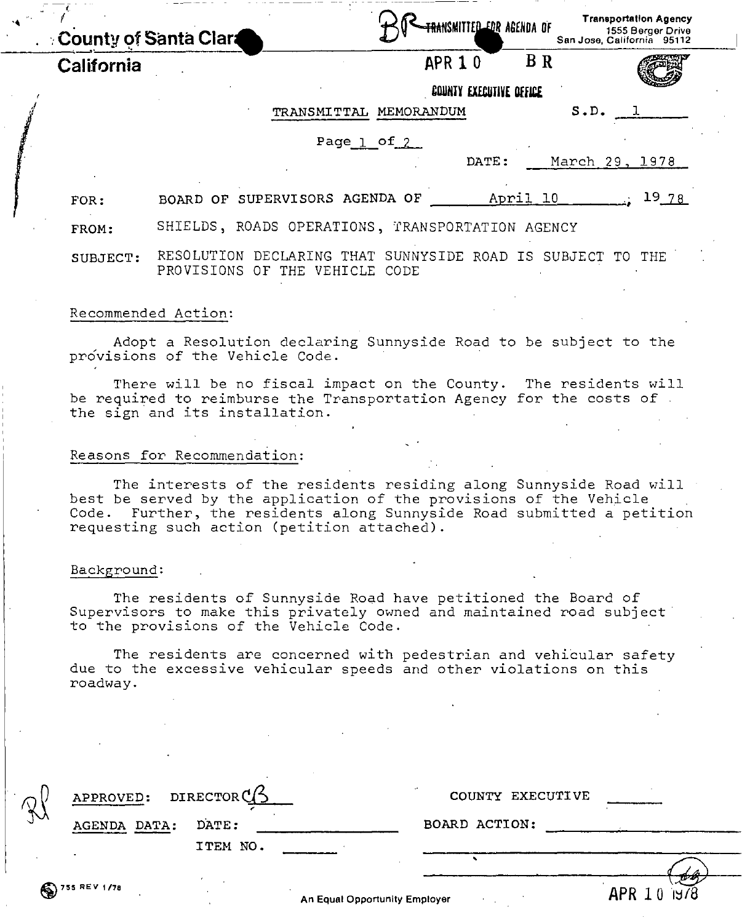|            | <b>County of Santa Clart</b>                                                                        | <b>TRANSMITTED FOR AGENDA OF</b> | <b>Hansportanon Myency</b><br>1555 Berger Drive<br>San Jose, California 95112 |
|------------|-----------------------------------------------------------------------------------------------------|----------------------------------|-------------------------------------------------------------------------------|
| California |                                                                                                     | APR 10                           | <b>B</b> R                                                                    |
|            |                                                                                                     | <b>COUNTY EXECUTIVE OFFICE</b>   |                                                                               |
|            |                                                                                                     | TRANSMITTAL MEMORANDUM           | S.D.                                                                          |
|            |                                                                                                     | Page $1$ of $2$                  |                                                                               |
|            |                                                                                                     | DATE:                            | March 29, 1978                                                                |
| FOR:       | BOARD OF SUPERVISORS AGENDA OF                                                                      |                                  | 1978<br>April 10                                                              |
| FROM:      | SHIELDS, ROADS OPERATIONS, TRANSPORTATION AGENCY                                                    |                                  |                                                                               |
| SUBJECT:   | RESOLUTION DECLARING THAT SUNNYSIDE ROAD IS SUBJECT TO THE<br>PROVISIONS OF THE VEHICLE CODE        |                                  |                                                                               |
|            | Recommended Action:                                                                                 |                                  |                                                                               |
|            | Adopt a Resolution declaring Sunnyside Road to be subject to the<br>provisions of the Vehicle Code. |                                  |                                                                               |

There will be no fiscal impact on the County. The residents will be required to reimburse the Transportation Agency for the costs of. the sign and its installation.

#### Reasons for Recommendation:

The interests of the residents residing along Sunnyside Road will best be served by the application of the provisions of the Vehicle Code. Further, the residents along Sunnyside Road submitted a petition requesting such action (petition attached).

#### Background:

The residents of Sunnyside Road have petitioned the Board of Supervisors to make this privately owned and maintained road subject to the provisions of the Vehicle Code.

The residents are concerned with pedestrian and vehicular safety due to the excessive vehicular speeds and other violations on this roadway.

|   | APPROVED: DIRECTOR $\mathbb{C}/\mathbb{S}$ |          |                                      | COUNTY EXECUTIVE |                        |  |  |  |
|---|--------------------------------------------|----------|--------------------------------------|------------------|------------------------|--|--|--|
| ∿ | DATA:<br>AGENDA                            | DATE:    |                                      | BOARD ACTION:    |                        |  |  |  |
|   |                                            | ITEM NO. |                                      |                  |                        |  |  |  |
|   |                                            |          |                                      |                  |                        |  |  |  |
|   | $\binom{2}{3}$ 755 REV 1/78                |          | <b>An Equal Opportunity Employer</b> |                  | 7922<br>APR 10<br>J978 |  |  |  |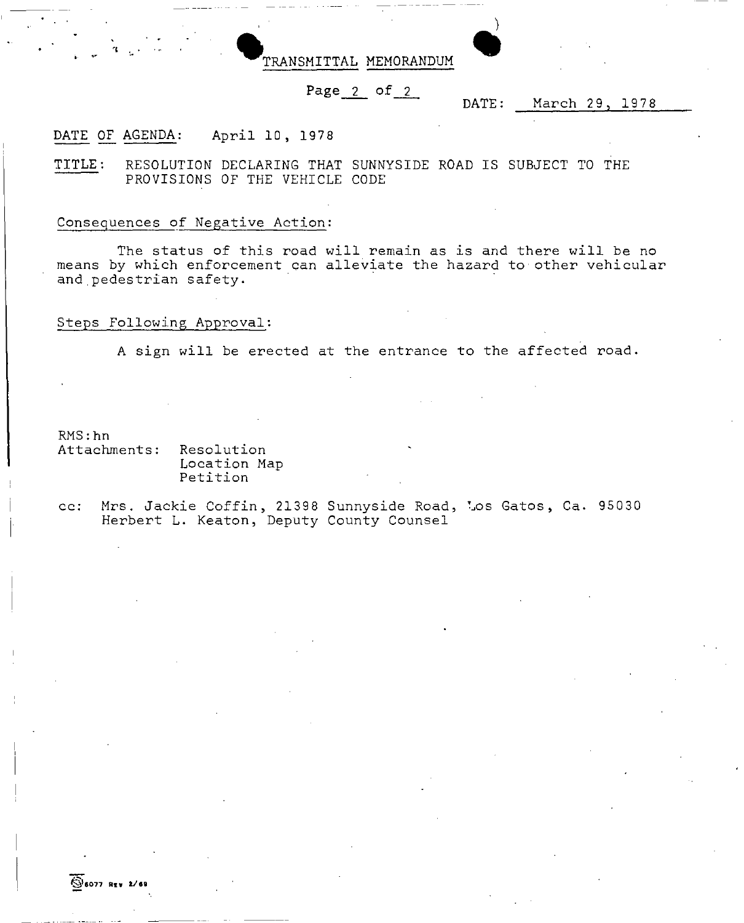

#### Page 2 of 2

#### DATE: March 29, 1978

#### DATE OF AGENDA: April 10, 1978

TITLE: RESOLUTION DECLARING THAT SUNNYSIDE ROAD IS SUBJECT TO THE PROVISIONS OF THE VEHICLE CODE

#### Conseguences of Negative Action:

The status of this road will remain as is and there will be no means by which enforcement can alleviate the hazard to other vehicular and pedestrian safety.

#### Steps Following Approval:

A sign will be erected at the entrance to the affected road.

RMS:hn

Attachments: Resolution Location Map Petition

cc: Mrs. Jackie Coffin, 21398 Sunnyside Road, Los Gatos, Ca. 95030 Herbert L. Keaton, Deputy County Counsel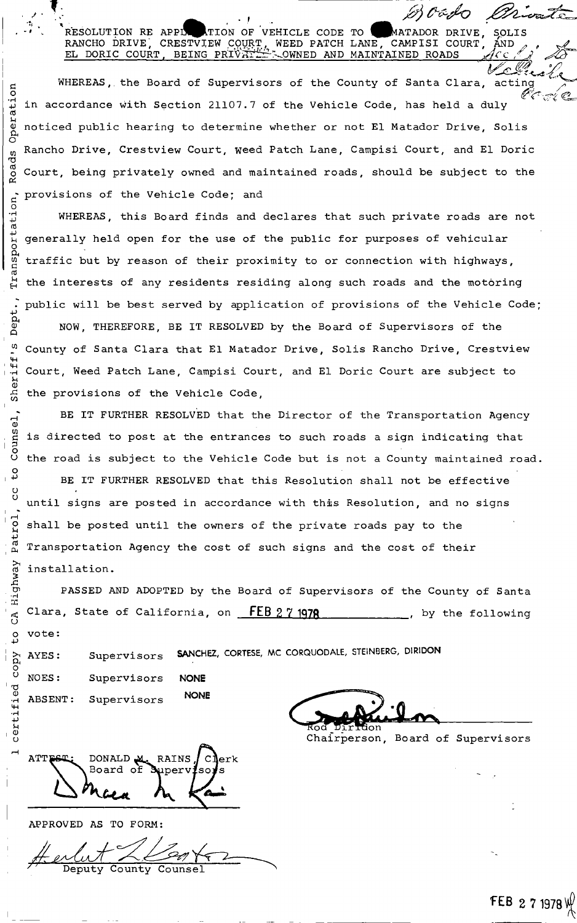#### RESOLUTION RE APPING TION OF VEHICLE CODE TO RANCHO DRIVE, CRESTVJEW COURT, WEED PATCH EL DORIC COURT, BEING PRIVATIL COWNED AND MATADOR DRIVE, SOLIS TO WATADOR DRIVE, SOLIS<br>LANE, CAMPISI COURT, AND , , MAINTAINED ROADS ¥[{C *,f~ ~-*

J./' *(fd ,/J V~;!-~~-i:.* WHEREAS, the Board of Supervisors of the County of Santa Clara, acting  $\qquad \, \big/$  $\mathscr{C}$  C = E (  $\heartsuit$  $\omega$  in accordance with Section 21107.7 of the Vehicle Code, has held a duly noticed public hearing to determine whether or not El Matador Drive, Solis Rancho Drive, Crestview Court, weed Patch Lane, Campisi Court, and El Doric Court, being privately owned and maintained roads, should be subject to the provisions of the Vehicle Code; and

WHEREAS, this Board finds and declares that such private roads are not generally held open for the use of the public for purposes of vehicular traffic but by reason of their proximity to or connection with highways, the interests of any residents residing along such roads and the motoring public will be best served by application of provisions of the Vehicle Code;

NOW, THEREFORE, BE IT RESOLVED by the Board of Supervisors of the ~ County of Santa Clara that El Matador Drive, Solis Rancho Drive, Crestview Court, Weed Patch Lane, Campisi Court, and El Doric Court are subject to the provisions of the Vehicle Code,

BE IT FURTHER RESOLVED that the Director of the Transportation Agency is directed to post at the entrances to such roads a sign indicating that the road is subject to the Vehicle Code but is not a County maintained road.

BE IT FURTHER RESOLVED that this Resolution shall not be effective until signs are posted in accordance with this Resolution, and no signs  $\overline{e}$  shall be posted until the owners of the private roads pay to the Transportation Agency the cost of such signs and the cost of their installation.

PASSED AND ADOPTED by the Board of Supervisors of the County of Santa  $\epsilon_{\rm g}$  Clara, State of California, on  $-$  FEB 2 7 1978  $-$  , by the following

Supervisors SANCHEZ, CORTESE, MC CORQUODALE, STEINBERG, DIRIDON

NOES: ABSENT: Supervisors **NONE**

Supervisors NONE Grand Land

Chairperson, Board of Supervisors

*M~~A;* ffi~

 $ATT$  $ET:$  DONALD  $M<sub>c</sub>$  RAINS  $/C$  erk Board of  $t_{\rm{th}}$   $h_{\rm{th}}$   $k_{\rm{th}}$ 

APPROVED AS TO FORM:

# endet 2000.

 $\overline{ }$ 

--", *I' "*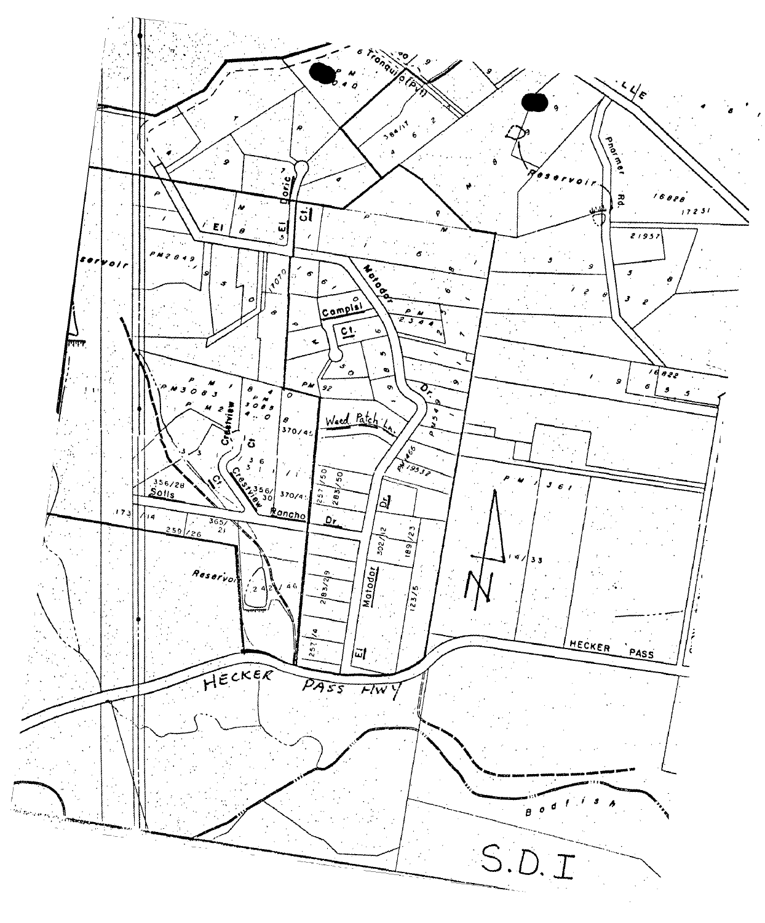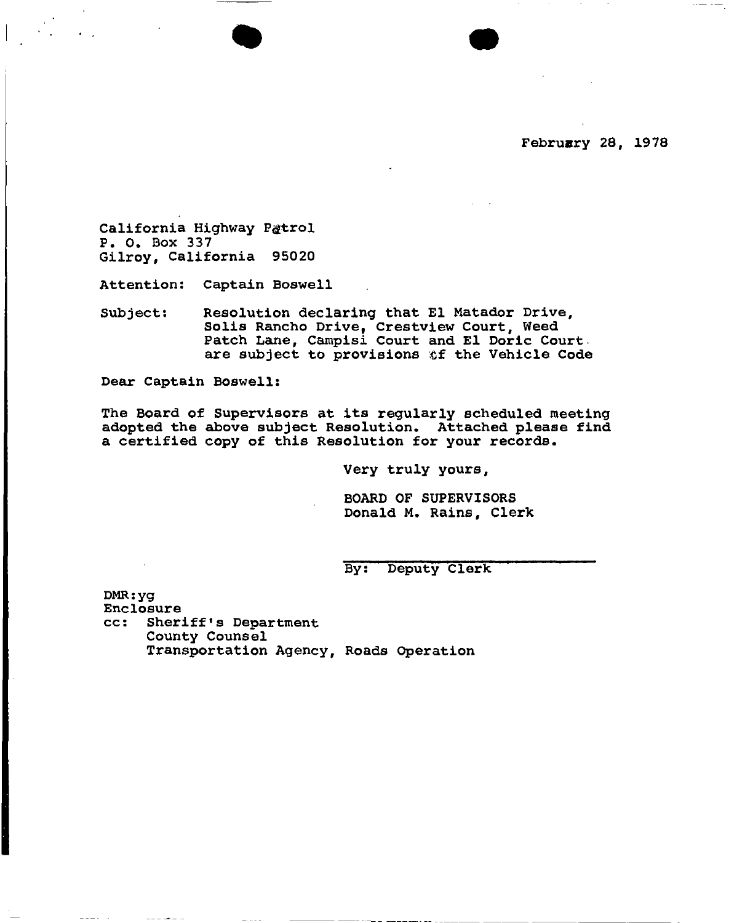•

California Highway Pætrol P. O. Box 337 Gilroy, California 95020

Attention: Captain Boswell

Subject: Resolution declaring that El Matador Drive, Solis Rancho Drive, Crestview Court, Weed Patch Lane, Campisi Court and El Doric Courtare subject to provisions &f the Vehicle Code

Dear Captain Boswell:

The Board of Supervisors at its regularly scheduled meeting adopted the above subject Resolution. Attached please find a certified copy of this Resolution for your records.

Very truly yours,

BOARD OF SUPERVISORS Donald M. Rains, Clerk

By: Deputy clerk

DMR:yg Enclosure cc: Sheriff's Department County Counsel Transportation Agency, Roads Operation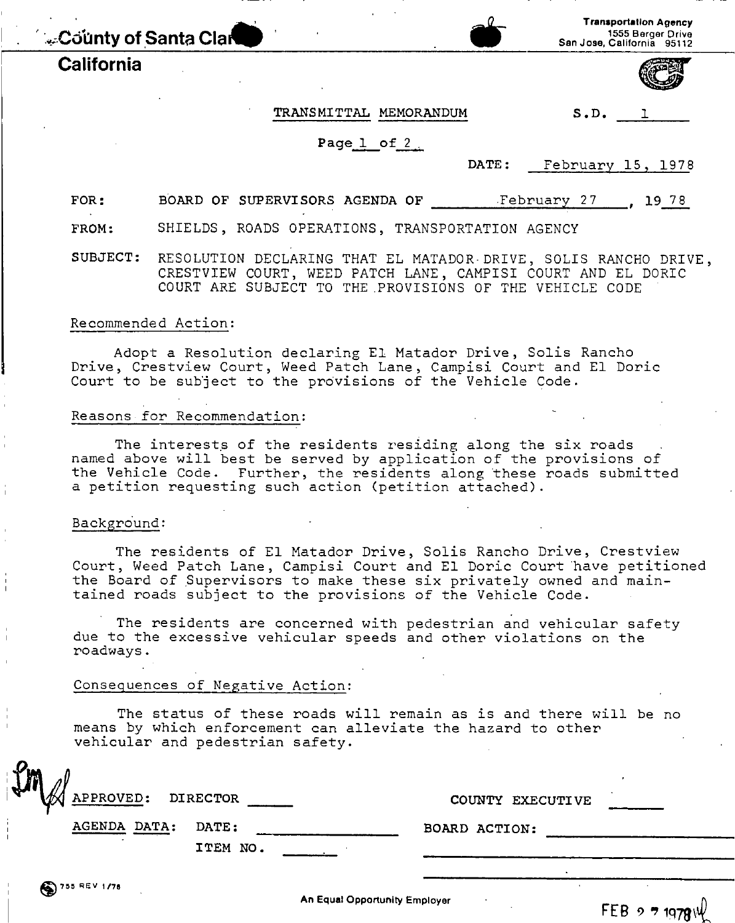, ',~,C~hnty**of**,Santa **Cla\_**

### **California**

#### **Transportation Agency** 1555 Berger Drive San Jose, California 95112

#### TRANSMITTAL MEMORANDUM S.D.

## Page 1 of 2

DATE: February 15, 1978

FOR: BOARD OF SUPERVISORS AGENDA OF February 27 , 19 78

FROM: SHIELDS, ROADS OPERATIONS, TRANSPORTATION AGENCY

SUBJECT: RESOLUTION DECLARING THAT EL MATADOR· DRIVE, SOLIS RANCHO DRIVE, CRESTVIEW COURT, WEED PATCH LANE, CAMPISI COURT AND EL DORIC COURT ARE SUBJECT TO THE .PROVISIONS OF THE VEHICLE CODE

#### Recommended Action:

Adopt a Resolution declaring El Matador Drive, Solis Rancho Drive, Crestview Court, Weed Patch Lane, Campisi Court and El Doric Court to be subject to the provisions of the Vehicle Code.

#### Reasons for Recommendation:

The interests of the residents residing along the six roads named above will best be served by application of the provisions of the Vehicle Code. Further, the residents along these roads submitted a petition requesting such action (petition attached).

#### Background:

The residents of El Matador Drive, Solis Rancho Drive, Crestview Court, Weed Patch Lane, Campisi Court and El Doric Court have petitioned the Board of Supervisors to make these six privately owned and maintained roads subject to the provisions of the Vehicle Code.

The residents are concerned with pedestrian and vehicular safety due to the excessive vehicular speeds and other violations on the roadways.

#### Conseguences of Negative Action:

The status of these roads will remain as is and there will be no means by which enforcement can alleviate the hazard to other vehicular and pedestrian safety.

| $\sqrt{2}n$<br>$\overline{a}$ |                  |
|-------------------------------|------------------|
| APPROVED: DIRECTOR            | COUNTY EXECUTIVE |
| AGENDA DATA:<br><b>DATE:</b>  | BOARD ACTION:    |
| ITEM NO.                      |                  |
|                               |                  |

An Equal Opportunity Employer

FEB  $9.71978$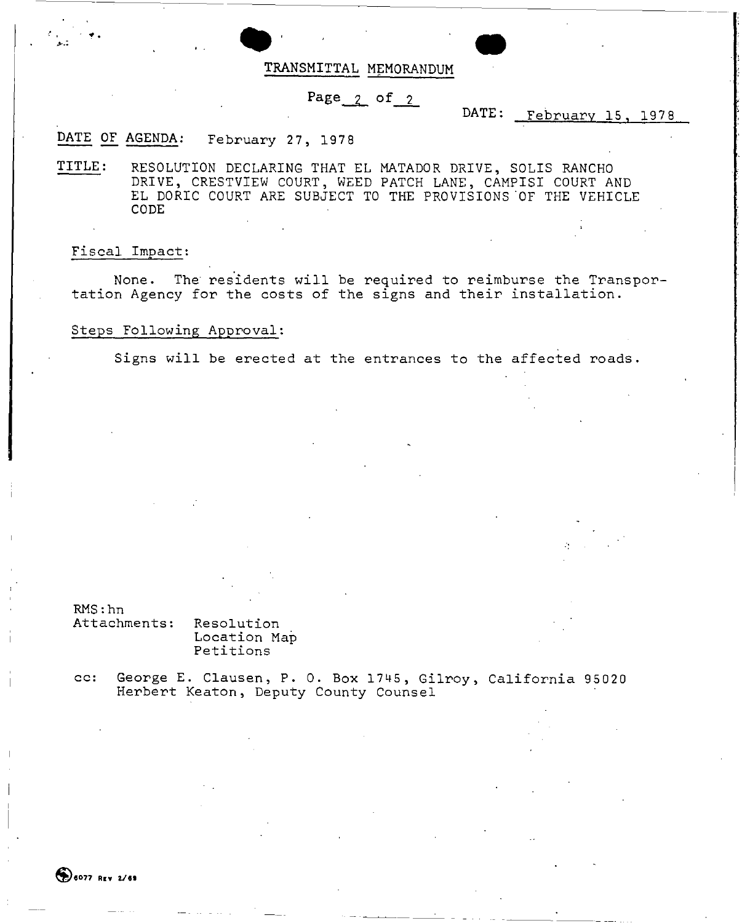

### Page $_2$  of  $_2$

### DATE: February 15, 1978

• . <sup>i</sup>

### DATE OF AGENDA: DATE OF AGENDA: February 27, 1978<br>TITLE: RESOLUTION DECLARING THAT 1

RESOLUTION DECLARING THAT EL MATADOR DRIVE, SOLIS RANCHO DRIVE, CRESTVIEW COURT, WEED PATCH LANE, CAMPISI COURT AND EL DORIC COURT ARE SUBJECT TO THE PROVISIONS OF THE VEHICLE CODE

#### Fiscal Impact:

 $\mathbf{I}$ 

 $\epsilon$  .

**>-.:**

~.

None. The residents will be required to reimburse the Transportation Agency for the costs of the signs and their installation.

#### Steps Following Approval:

Signs will be erected at the entrances to the affected roads.

RMS:hn

Attachments: Resolution Location Map Petitions

cc: George E. Clausen, P. O. Box 1745, Gilroy, California 95020 Herbert Keaton, Deputy County Counsel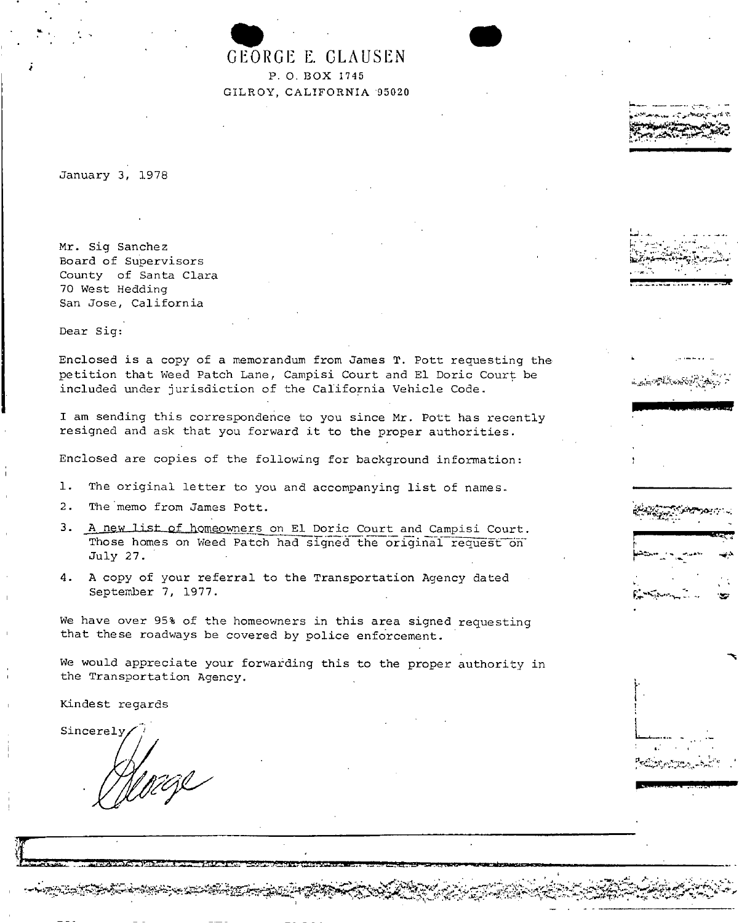G GEOR EORGE E. CLAUSEN p, 0, BOX 1745 GILROY, CALIFORNIA 95020 •

~..~ . "'~"

*~hS&i~il~~-o').~'*

 $\mathcal{L}_{\mathcal{L}}$  ,  $\mathcal{L}_{\mathcal{L}}$  ,  $\mathcal{L}_{\mathcal{L}}$  ,  $\mathcal{L}_{\mathcal{L}}$ **<sup>E</sup>':"**~<.~'\o.r ~-. ;. **'\$'**

t I

L,..

**£ :"**

----~------------------------------------ -

January 3, 1978

..

*i*

Mr. Sig Sanchez Board of Supervisors County of Santa Clara 70 West Hedding San Jose, California

Dear Sig:

Enclosed is a copy of a memorandum from James T. Pott requesting the petition that Weed Patch Lane, Campisi Court and El Doric Court be included under jurisdiction of the California Vehicle Code.

I am sending this correspcndence to you since Mr. Pott has recently resigned and ask that you forward it to the proper authorities.

Enclosed are copies of the following for background information:

- 1. The original letter to you and accompanying list of names.
- 2. The 'memo from James Pott.
- 3. A new list of homeowners on El Doric Court and Campisi Court. Those homes on Weed Patch had signed the original request on July 27.
- 4. A copy of your referral to the Transportation Agency dated September 7, 1977.

We have over 95% of the homeowners in this area signed requesting that these roadways be covered by police enforcement.

We would appreciate your forwarding this to the proper authority in the Transportation Agency.

Kindest regards

Sincerely,

 $\int_{\mathbb{R}^{n}}$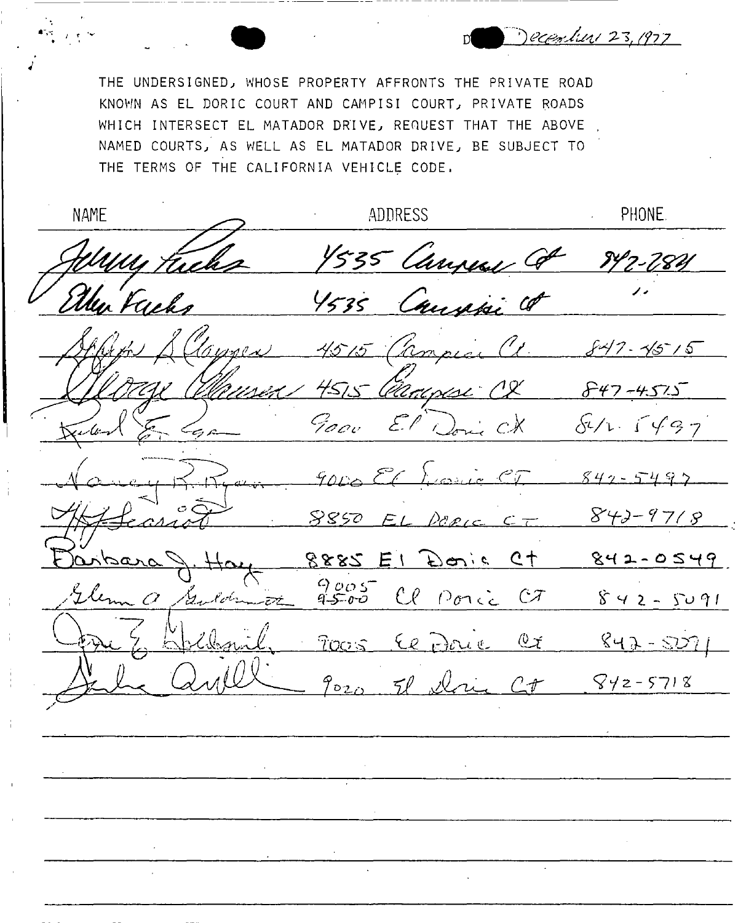THE UNDERSIGNED) WHOSE PROPERTY AFFRONTS THE PRIVATE ROAD KNOWN AS EL DORIC COURT AND CAMPISI COURT) PRIVATE ROADS WHICH INTERSECT EL MATADOR DRIVE, REQUEST THAT THE ABOVE NAMED COURTS) AS WELL AS EL MATADOR DRIVE) BE SUBJECT TO THE TERMS OF THE CALIFORNIA VEHICLE CODE.

**ADDRESS** PHONE. **NAME** 1535 Canpen Co -784 the face Canali Co  $847.4515$  $457.5$ ama 847-4525<br>El 1. 5497 Goov E.P  $\mathcal{L}^{\pm}$  $842 - 549$ **..•. ,**  $842 - 9718$ 8850 DERIC .~'i!~ **E\** 80"\" ~ **Qt**  $842 - 0549$ 9005 Cl Ponic CT  $842 - 5091$ .<br>EZÉ  $700s$  $\mathcal{L}_{\ell}$   $\sum_{i=1}^{n}$   $\mathcal{L}_{\ell}$   $\ell$   $\ell$   $\ell$   $\ell$  $842 - 527$ *(DL()* 71 *,-trL~ C;r*  $842 - 5718$ 

December 23, 1977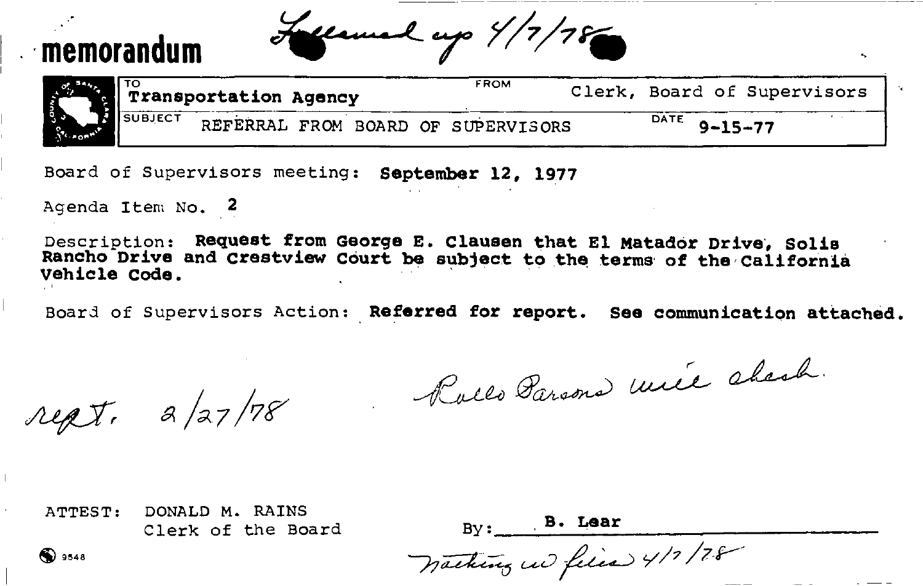# **,memorandum**

,.

Lecunel up 4/7/78

-- \_.\_----\_.\_------ -----~-------

|           | ι το<br>Transportation Agency |  |  | FROM |                                    | Clerk, Board of Supervisors |      |               |  |
|-----------|-------------------------------|--|--|------|------------------------------------|-----------------------------|------|---------------|--|
| SECTION N | <b>N</b> SUBJECT              |  |  |      | REFERRAL FROM BOARD OF SUPERVISORS |                             | DATE | $9 - 15 - 77$ |  |

Board of Supervisors meeting: September 12, 1977

Agenda Item No. 2

Description: **Request from George E. Clausen that El Matador** Drive', **Solis Rancho Drive and crestview Court be subject** to the terms' **of** the 'california **Vehicle Code. '**

Board of Supervisors Action: ,**Referred for report. See communication attached.**

rept. a/27/78

Rollo Parsons mile chesh.

ATTEST: DONALD M. RAINS Clerk of the Board By: B. Lear

 $\bigcirc$  3548 **9/17/78**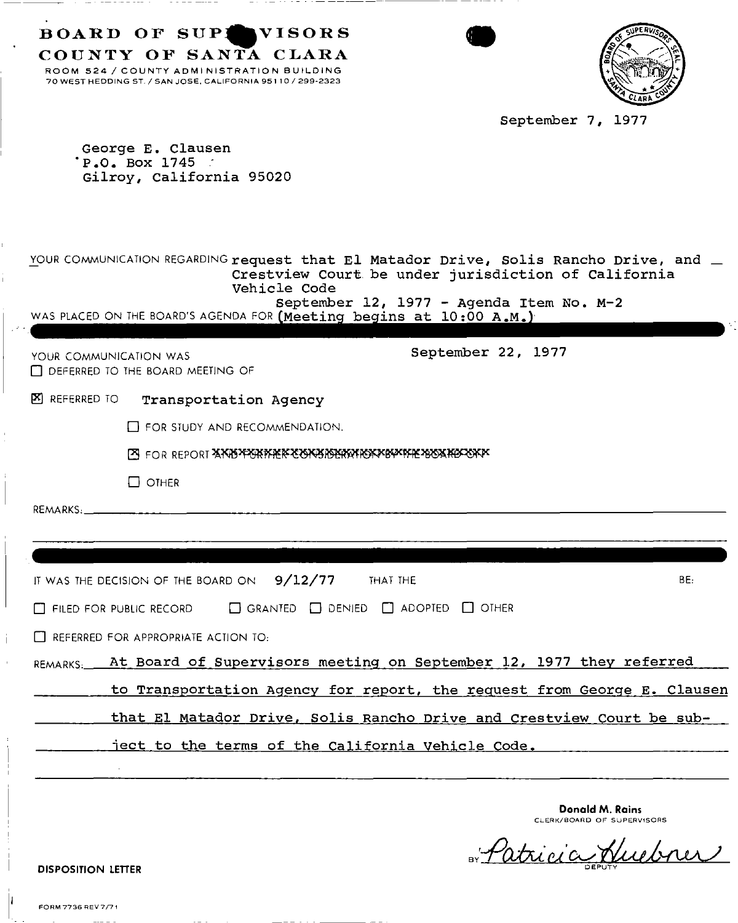| BOARD OF SUPINVISORS<br>COUNTY OF SANTA CLARA<br>ROOM 524 / COUNTY ADMINISTRATION BUILDING<br>70 WEST HEDDING ST. / SAN JOSE, CALIFORNIA 95110 / 299-2323<br>September 7, 1977                                                                                                        |
|---------------------------------------------------------------------------------------------------------------------------------------------------------------------------------------------------------------------------------------------------------------------------------------|
| George E. Clausen<br>'P O. Box 1745<br>Gilroy, California 95020                                                                                                                                                                                                                       |
| YOUR COMMUNICATION REGARDING request that El Matador Drive, Solis Rancho Drive, and $\perp$<br>Crestview Court be under jurisdiction of California<br>Vehicle Code<br>September 12, 1977 - Agenda Item No. M-2<br>WAS PLACED ON THE BOARD'S AGENDA FOR (Meeting begins at 10:00 A.M.) |
| September 22, 1977<br>YOUR COMMUNICATION WAS<br>DEFERRED TO THE BOARD MEETING OF                                                                                                                                                                                                      |
| <b>EXI REFERRED TO</b><br>Transportation Agency                                                                                                                                                                                                                                       |
| FOR STUDY AND RECOMMENDATION.                                                                                                                                                                                                                                                         |
|                                                                                                                                                                                                                                                                                       |
| $\Box$ OTHER                                                                                                                                                                                                                                                                          |
| REMARKS:                                                                                                                                                                                                                                                                              |
|                                                                                                                                                                                                                                                                                       |
|                                                                                                                                                                                                                                                                                       |
| IT WAS THE DECISION OF THE BOARD ON $9/12/77$ THAT THE<br>BE:                                                                                                                                                                                                                         |
| $\Box$ Filed for public record $\Box$ Granted $\Box$ Denied $\Box$ Adopted $\Box$ Other                                                                                                                                                                                               |
| $\Box$ REFERRED FOR APPROPRIATE ACTION TO:                                                                                                                                                                                                                                            |
| REMARKS. At Board of Supervisors meeting on September 12, 1977 they referred                                                                                                                                                                                                          |
| to Transportation Agency for report, the request from George E. Clausen                                                                                                                                                                                                               |
| that El Matador Drive, Solis Rancho Drive and Crestview Court be sub-                                                                                                                                                                                                                 |
| ject to the terms of the California Vehicle Code.                                                                                                                                                                                                                                     |
|                                                                                                                                                                                                                                                                                       |
| Donald M. Rains<br>CLERK/BOARD OF SUPERVISORS<br>$\pi$ ipici<br><b>DISPOSITION LETTER</b>                                                                                                                                                                                             |

H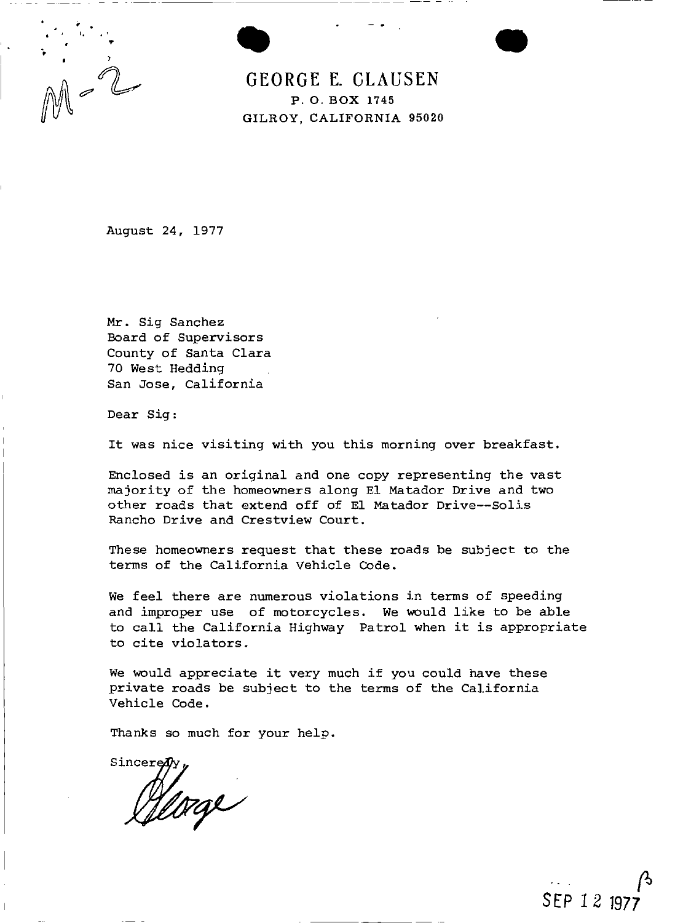

**GEORGE E. CLAUSEN** P. O. BOX 1745 GILROY, CALIFORNIA 95020 •

August 24, 1977

Mr. Sig Sanchez Board of Supervisors County of Santa Clara 70 West Hedding San Jose, California

Dear Sig:

It was nice visiting with you this morning over breakfast.

Enclosed is an original and one copy representing the vast majority of the homeowners along El Matador Drive and two other roads that extend off of EI Matador Drive--Solis Rancho Drive and Crestview Court.

These homeowners request that these roads be subject to the terms of the California Vehicle Code.

We feel there are numerous violations in terms of speeding and improper use of motorcycles. We would like to be able to call the California Highway Patrol when it is appropriate to cite violators.

We would appreciate it very much if you could have these private roads be subject to the terms of the California Vehicle Code.

Thanks so much for your help.

Sincere Herze

 $\beta$ **SEP 12 1977**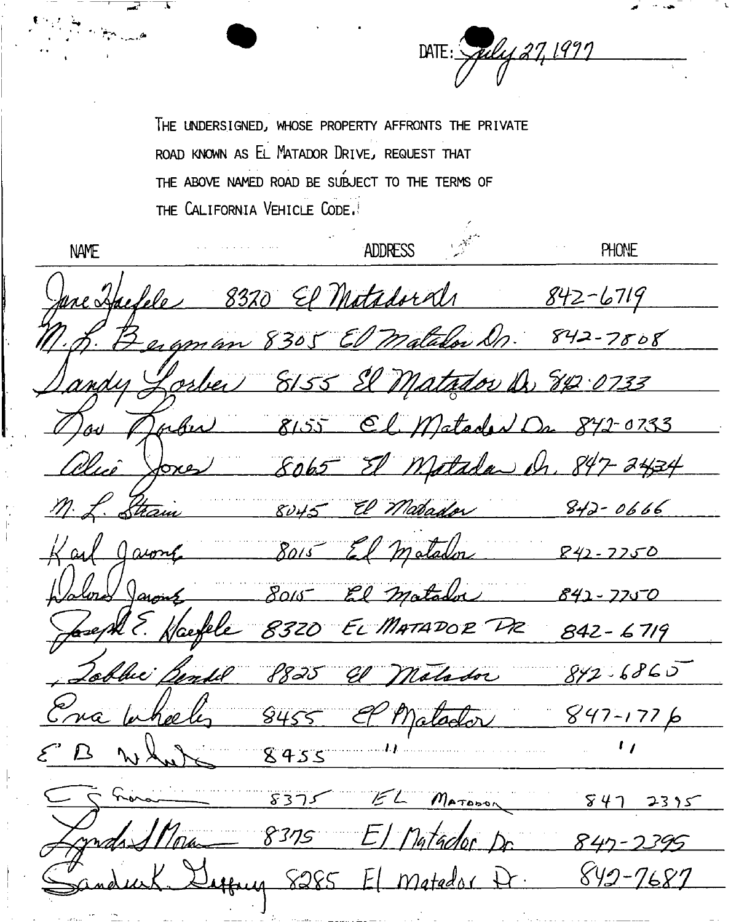THE UNDERSIGNED, WHOSE PROPERTY AFFRONTS THE PRIVATE ROAD KNOWN AS EL MATADOR DRIVE, REQUEST THAT THE ABOVE NAMED ROAD BE SUBJECT TO THE TERMS OF THE CALIFORNIA VEHICLE CODE.

DATE: Spiley 27, 1997

ADDRESS **NAME PHONE** me Haelele 8320 El Matadordi  $842 - 6719$ ergman 8305 El matador Dr. 842-7808 Lorber 8155 El Matador Dr. 842 0733 Jahr 8155 Cl Matadea/1 Dr 842-0733 Miî Jones 8065 El Matada dr. 847-2434 Stram 8045 El Matador  $842 - 0666$ 8015 El matadon Javont  $R42 - 7750$ 8015 El matador Jaront 842-7750 8320 EL MATADOR PR  $842 - 6719$ 'hie',  $842.6860$ P825 El Malador nã Matador  $847 - 1776$  $8455$  $\mathbf{L}$ 8455  $8375$ EL MATORON  $847$  2395 mas Mon 8375 El Matador Dr 18285 84 7687 Matado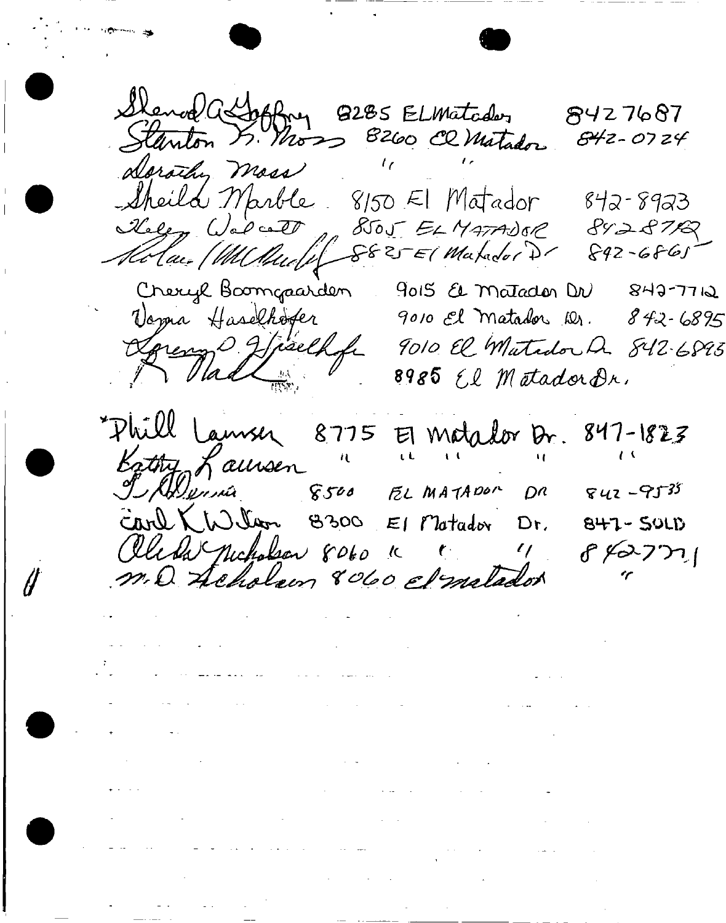Sland assofting 8285 ELMatader 8427687 Stanton & Moss 8260 Cl Matador  $842 - 0724$ Dorothy Mass Sheild Marble, 8150 El Matador 842-8923 Roley Volcatt 8505 ELMATADOR 8428712 Cheryl Boomgaarden 9015 & Matador DN 842-7712 Voyna Haselhøfer 9010 El Matador Dr. 842-6895 Gereny Haelkofn 9010 El Matador Dr. 842-6893 "Phill Lausen 8775 El Matalor Dr. 847-1823 September 8500 EL MATADOR  $842 - 9535$  $D<sup>n</sup>$ Carl KW llan 8300 El Matador Dr.  $847 - 501D$ Olerla Michalson 8060 K +  $842771$  $\frac{\ell}{\ell}$ m. Q Acholem 8060 el milador . The second constraints of the second constraint  $\mathcal{L}_\text{c}$  , and the second constraint  $\mathcal{L}_\text{c}$ it<br>tier is de la component de la component de la component de la component<br>tier de la component de la component de la component de la component de la component de la component de la co  $\mathcal{L}_{\mathcal{A}}$  and  $\mathcal{L}_{\mathcal{A}}$  are  $\mathcal{L}_{\mathcal{A}}$  . The set of  $\mathcal{L}_{\mathcal{A}}$  $\frac{1}{\sqrt{2}}$  . The contract of the contract of the contract of the contract of the contract of the contract of the contract of the contract of the contract of the contract of the contract of the contract of the contract o  $\mathcal{A}(\mathcal{A})$  and  $\mathcal{A}(\mathcal{A})$  are the set of the set of the set of the set of the set of the set of the set of the set of the set of the set of the set of the set of the set of the set of the set of the set of the set  $\mathcal{L}(\mathcal{L}(\mathcal{L}(\mathcal{L}(\mathcal{L}(\mathcal{L}(\mathcal{L}(\mathcal{L}(\mathcal{L}(\mathcal{L}(\mathcal{L}(\mathcal{L}(\mathcal{L}(\mathcal{L}(\mathcal{L}(\mathcal{L}(\mathcal{L}(\mathcal{L}(\mathcal{L}(\mathcal{L}(\mathcal{L}(\mathcal{L}(\mathcal{L}(\mathcal{L}(\mathcal{L}(\mathcal{L}(\mathcal{L}(\mathcal{L}(\mathcal{L}(\mathcal{L}(\mathcal{L}(\mathcal{L}(\mathcal{L}(\mathcal{L}(\mathcal{L}(\mathcal{L}(\mathcal{$ . For the set of the set of the set of the set of the set of the set of the set of the set of the set of the set of the set of the set of the set of the set of the set of the set of the set of the set of the set of the se  $\mathcal{L}^{\mathcal{L}}$  and the second contribution of the second contribution  $\mathcal{L}^{\mathcal{L}}$  $\mathcal{L}(\mathcal{L}^{\text{max}}_{\mathcal{L}}(\mathcal{L}^{\text{max}}_{\mathcal{L}}))$ 

 $\sim$   $-$ 

 $\frac{1}{2} \left( \frac{1}{2} \right)$  ,  $\frac{1}{2} \left( \frac{1}{2} \right)$  ,  $\frac{1}{2} \left( \frac{1}{2} \right)$  ,  $\frac{1}{2} \left( \frac{1}{2} \right)$  ,  $\frac{1}{2} \left( \frac{1}{2} \right)$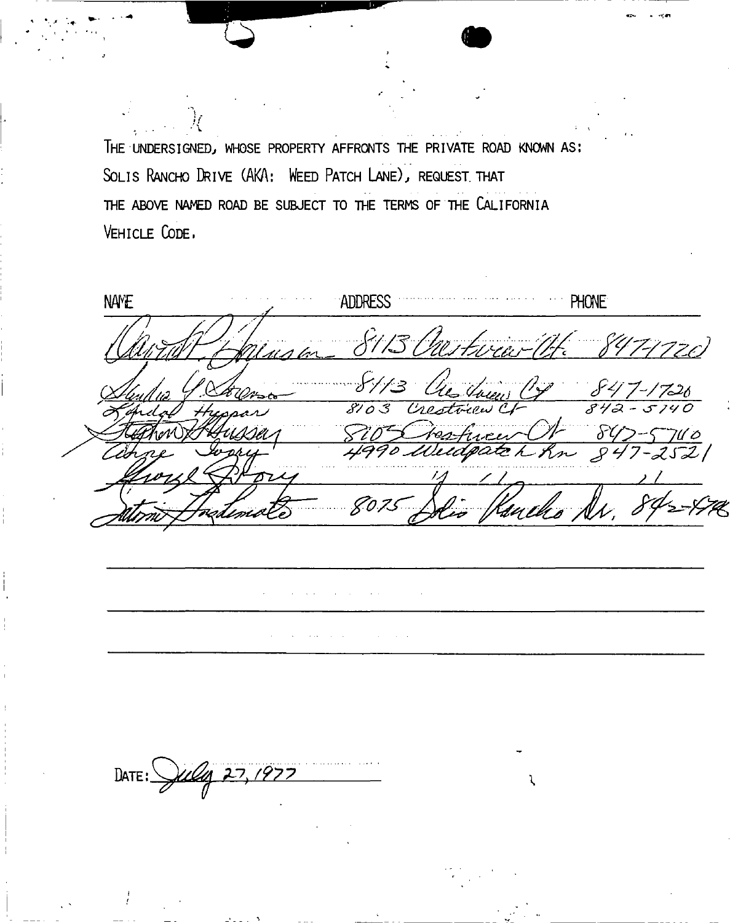THE UNDERSIGNED, WHOSE PROPERTY AFFRONTS THE PRIVATE ROAD KNOWN AS: SOLIS RANCHO DRIVE (AKA: WEED PATCH LANE), REQUEST THAT THE ABOVE NAMED ROAD BE SUBJECT TO THE TERMS OF THE CALIFORNIA VEHICLE CODE.

ADDRESS **NAME PHONE** 8075 DATE:  $\sqrt{\mu\mu}$  27, 1977 l